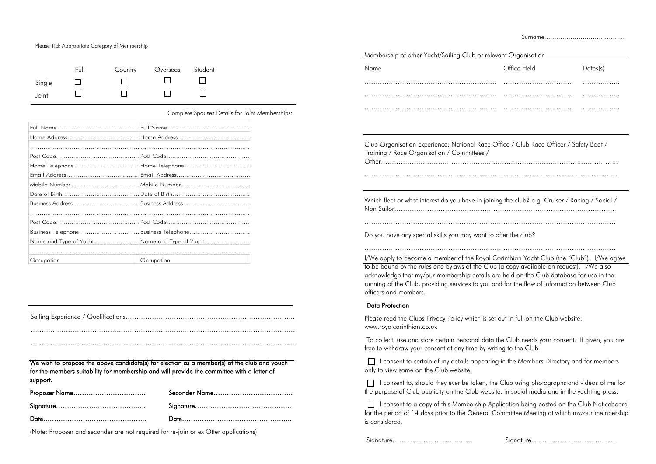Please Tick Appropriate Category of Membership

|        | Full | Country | Overseas Student |  |
|--------|------|---------|------------------|--|
| Single |      |         |                  |  |
| Joint  |      |         |                  |  |

Complete Spouses Details for Joint Memberships:

| Home Telephone |                                      |
|----------------|--------------------------------------|
|                |                                      |
|                |                                      |
|                |                                      |
|                |                                      |
|                |                                      |
|                |                                      |
|                | Business TelephoneBusiness Telephone |
|                |                                      |
|                |                                      |
| Occupation     | Occupation                           |

Sailing Experience / Qualifications…………………………………………………………………..

…………………………………………………………………………………………………………

…………………………………………………………………………………………………………

 $\Box$  I consent to certain of my details appearing in the Members Directory and for members only to view same on the Club website.

We wish to propose the above candidate(s) for election as a member(s) of the club and vouch for the members suitability for membership and will provide the committee with a letter of support.

 $\Box$  I consent to, should they ever be taken, the Club using photographs and videos of me for the purpose of Club publicity on the Club website, in social media and in the yachting press.

| Proposer Name |  |
|---------------|--|
|               |  |
|               |  |

I consent to a copy of this Membership Application being posted on the Club Noticeboard for the period of 14 days prior to the General Committee Meeting at which my/our membership is considered.

(Note: Proposer and seconder are not required for re-join or ex Otter applications)

Surname………………………………….

| Membership of other Yacht/Sailing Club or relevant Organisation                                                                       |             |          |
|---------------------------------------------------------------------------------------------------------------------------------------|-------------|----------|
| Name                                                                                                                                  | Office Held | Dates(s) |
|                                                                                                                                       |             | .        |
|                                                                                                                                       |             |          |
|                                                                                                                                       |             | .        |
|                                                                                                                                       |             |          |
| Club Organisation Experience: National Race Office / Club Race Officer / Safety Boat /<br>Training / Race Organisation / Committees / |             |          |
| Which fleet or what interest do you have in joining the club? e.g. Cruiser / Racing / Social /                                        |             |          |
| Do you have any special skills you may want to offer the club?                                                                        |             |          |
| I/We apply to become a member of the Royal Corinthian Yacht Club (the "Club"). I/We agre                                              |             |          |
| to be bound by the rules and bylaws of the Club (a copy available on request). I/We also                                              |             |          |

I/We apply to become a member of the Royal Corinthian Yacht Club (the "Club"). I/We agree acknowledge that my/our membership details are held on the Club database for use in the running of the Club, providing services to you and for the flow of information between Club officers and members.

## Data Protection

Please read the Clubs Privacy Policy which is set out in full on the Club website: www.royalcorinthian.co.uk

To collect, use and store certain personal data the Club needs your consent. If given, you are free to withdraw your consent at any time by writing to the Club.

Signature……………………………… Signature………………………………….